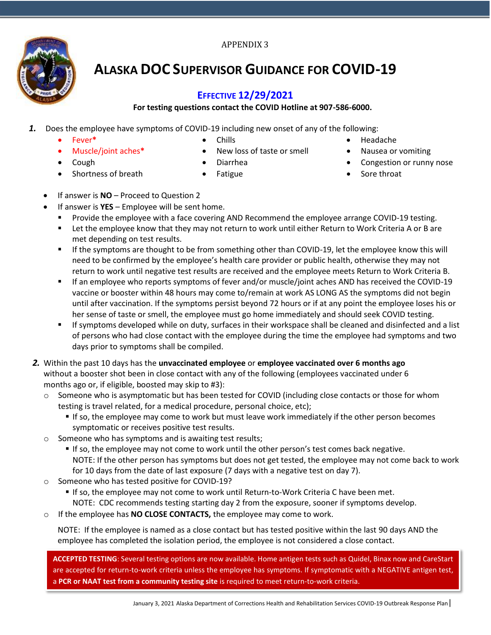#### APPENDIX 3



# **ALASKA DOC SUPERVISOR GUIDANCE FOR COVID-19**

#### **EFFECTIVE 12/29/2021**

#### **For testing questions contact the COVID Hotline at 907-586-6000.**

- *1.* Does the employee have symptoms of COVID-19 including new onset of any of the following:
	- Fever**\***
	- Muscle/joint aches**\***
- Chills
- New loss of taste or smell
- Cough
- Shortness of breath
- Diarrhea
- Fatigue
- Headache
- Nausea or vomiting
- Congestion or runny nose
- Sore throat

- If answer is **NO**  Proceed to Question 2
- If answer is **YES**  Employee will be sent home.
	- Provide the employee with a face covering AND Recommend the employee arrange COVID-19 testing.
	- Let the employee know that they may not return to work until either Return to Work Criteria A or B are met depending on test results.
	- **■** If the symptoms are thought to be from something other than COVID-19, let the employee know this will need to be confirmed by the employee's health care provider or public health, otherwise they may not return to work until negative test results are received and the employee meets Return to Work Criteria B.
	- If an employee who reports symptoms of fever and/or muscle/joint aches AND has received the COVID-19 vaccine or booster within 48 hours may come to/remain at work AS LONG AS the symptoms did not begin until after vaccination. If the symptoms persist beyond 72 hours or if at any point the employee loses his or her sense of taste or smell, the employee must go home immediately and should seek COVID testing.
	- If symptoms developed while on duty, surfaces in their workspace shall be cleaned and disinfected and a list of persons who had close contact with the employee during the time the employee had symptoms and two days prior to symptoms shall be compiled.
- *2.* Within the past 10 days has the **unvaccinated employee** or **employee vaccinated over 6 months ago** without a booster shot been in close contact with any of the following (employees vaccinated under 6 months ago or, if eligible, boosted may skip to #3):
	- o Someone who is asymptomatic but has been tested for COVID (including close contacts or those for whom testing is travel related, for a medical procedure, personal choice, etc);
		- **If so, the employee may come to work but must leave work immediately if the other person becomes** symptomatic or receives positive test results.
	- o Someone who has symptoms and is awaiting test results;
		- **If so, the employee may not come to work until the other person's test comes back negative.** NOTE: If the other person has symptoms but does not get tested, the employee may not come back to work for 10 days from the date of last exposure (7 days with a negative test on day 7).
	- o Someone who has tested positive for COVID-19?
		- If so, the employee may not come to work until Return-to-Work Criteria C have been met.
		- NOTE: CDC recommends testing starting day 2 from the exposure, sooner if symptoms develop.
	- o If the employee has **NO CLOSE CONTACTS,** the employee may come to work.

NOTE: If the employee is named as a close contact but has tested positive within the last 90 days AND the employee has completed the isolation period, the employee is not considered a close contact.

**ACCEPTED TESTING**: Several testing options are now available. Home antigen tests such as Quidel, Binax now and CareStart are accepted for return-to-work criteria unless the employee has symptoms. If symptomatic with a NEGATIVE antigen test, a **PCR or NAAT test from a community testing site** is required to meet return-to-work criteria.